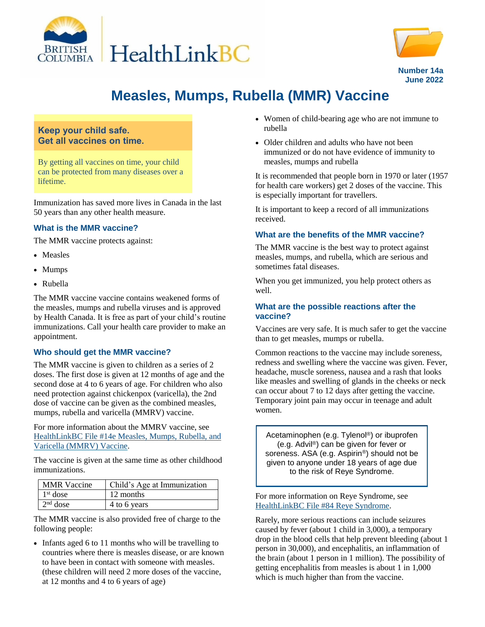



**Number 14a June 2022**

# **Measles, Mumps, Rubella (MMR) Vaccine**

# **Keep your child safe. Get all vaccines on time.**

By getting all vaccines on time, your child can be protected from many diseases over a lifetime.

Immunization has saved more lives in Canada in the last 50 years than any other health measure.

# **What is the MMR vaccine?**

The MMR vaccine protects against:

- Measles
- Mumps
- Rubella

The MMR vaccine vaccine contains weakened forms of the measles, mumps and rubella viruses and is approved by Health Canada. It is free as part of your child's routine immunizations. Call your health care provider to make an appointment.

# **Who should get the MMR vaccine?**

The MMR vaccine is given to children as a series of 2 doses. The first dose is given at 12 months of age and the second dose at 4 to 6 years of age. For children who also need protection against chickenpox (varicella), the 2nd dose of vaccine can be given as the combined measles, mumps, rubella and varicella (MMRV) vaccine.

For more information about the MMRV vaccine, see [HealthLinkBC File #14e Measles, Mumps, Rubella, and](https://www.healthlinkbc.ca/healthlinkbc-files/measles-mumps-rubella-and-varicella-mmrv-vaccine)  [Varicella \(MMRV\) Vaccine.](https://www.healthlinkbc.ca/healthlinkbc-files/measles-mumps-rubella-and-varicella-mmrv-vaccine)

The vaccine is given at the same time as other childhood immunizations.

| <b>MMR</b> Vaccine | Child's Age at Immunization |
|--------------------|-----------------------------|
| $1st$ dose         | 12 months                   |
| $2nd$ dose         | 4 to 6 years                |

The MMR vaccine is also provided free of charge to the following people:

• Infants aged 6 to 11 months who will be travelling to countries where there is measles disease, or are known to have been in contact with someone with measles. (these children will need 2 more doses of the vaccine, at 12 months and 4 to 6 years of age)

- Women of child-bearing age who are not immune to rubella
- Older children and adults who have not been immunized or do not have evidence of immunity to measles, mumps and rubella

It is recommended that people born in 1970 or later (1957 for health care workers) get 2 doses of the vaccine. This is especially important for travellers.

It is important to keep a record of all immunizations received.

## **What are the benefits of the MMR vaccine?**

The MMR vaccine is the best way to protect against measles, mumps, and rubella, which are serious and sometimes fatal diseases.

When you get immunized, you help protect others as well.

#### **What are the possible reactions after the vaccine?**

Vaccines are very safe. It is much safer to get the vaccine than to get measles, mumps or rubella.

Common reactions to the vaccine may include soreness, redness and swelling where the vaccine was given. Fever, headache, muscle soreness, nausea and a rash that looks like measles and swelling of glands in the cheeks or neck can occur about 7 to 12 days after getting the vaccine. Temporary joint pain may occur in teenage and adult women.

Acetaminophen (e.g. Tylenol®) or ibuprofen (e.g. Advil®) can be given for fever or soreness. ASA (e.g. Aspirin®) should not be given to anyone under 18 years of age due to the risk of Reye Syndrome.

For more information on Reye Syndrome, see [HealthLinkBC File #84 Reye Syndrome.](https://www.healthlinkbc.ca/healthlinkbc-files/reye-syndrome)

Rarely, more serious reactions can include seizures caused by fever (about 1 child in 3,000), a temporary drop in the blood cells that help prevent bleeding (about 1 person in 30,000), and encephalitis, an inflammation of the brain (about 1 person in 1 million). The possibility of getting encephalitis from measles is about 1 in 1,000 which is much higher than from the vaccine.